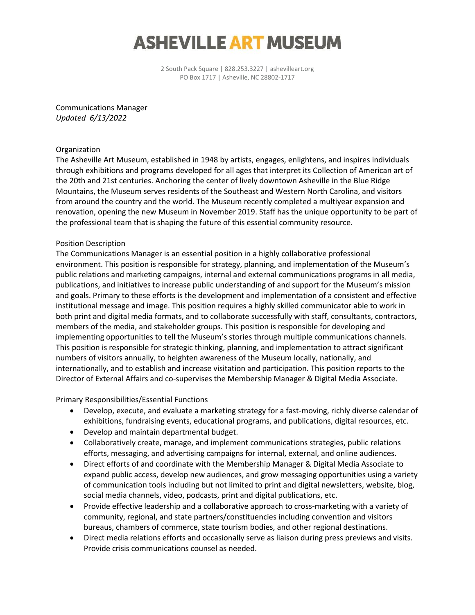# **ASHEVILLE ART MUSEUM**

2 South Pack Square | 828.253.3227 | ashevilleart.org PO Box 1717 | Asheville, NC 28802-1717

Communications Manager *Updated 6/13/2022*

### Organization

The Asheville Art Museum, established in 1948 by artists, engages, enlightens, and inspires individuals through exhibitions and programs developed for all ages that interpret its Collection of American art of the 20th and 21st centuries. Anchoring the center of lively downtown Asheville in the Blue Ridge Mountains, the Museum serves residents of the Southeast and Western North Carolina, and visitors from around the country and the world. The Museum recently completed a multiyear expansion and renovation, opening the new Museum in November 2019. Staff has the unique opportunity to be part of the professional team that is shaping the future of this essential community resource.

#### Position Description

The Communications Manager is an essential position in a highly collaborative professional environment. This position is responsible for strategy, planning, and implementation of the Museum's public relations and marketing campaigns, internal and external communications programs in all media, publications, and initiatives to increase public understanding of and support for the Museum's mission and goals. Primary to these efforts is the development and implementation of a consistent and effective institutional message and image. This position requires a highly skilled communicator able to work in both print and digital media formats, and to collaborate successfully with staff, consultants, contractors, members of the media, and stakeholder groups. This position is responsible for developing and implementing opportunities to tell the Museum's stories through multiple communications channels. This position is responsible for strategic thinking, planning, and implementation to attract significant numbers of visitors annually, to heighten awareness of the Museum locally, nationally, and internationally, and to establish and increase visitation and participation. This position reports to the Director of External Affairs and co-supervises the Membership Manager & Digital Media Associate.

Primary Responsibilities/Essential Functions

- Develop, execute, and evaluate a marketing strategy for a fast-moving, richly diverse calendar of exhibitions, fundraising events, educational programs, and publications, digital resources, etc.
- Develop and maintain departmental budget.
- Collaboratively create, manage, and implement communications strategies, public relations efforts, messaging, and advertising campaigns for internal, external, and online audiences.
- Direct efforts of and coordinate with the Membership Manager & Digital Media Associate to expand public access, develop new audiences, and grow messaging opportunities using a variety of communication tools including but not limited to print and digital newsletters, website, blog, social media channels, video, podcasts, print and digital publications, etc.
- Provide effective leadership and a collaborative approach to cross-marketing with a variety of community, regional, and state partners/constituencies including convention and visitors bureaus, chambers of commerce, state tourism bodies, and other regional destinations.
- Direct media relations efforts and occasionally serve as liaison during press previews and visits. Provide crisis communications counsel as needed.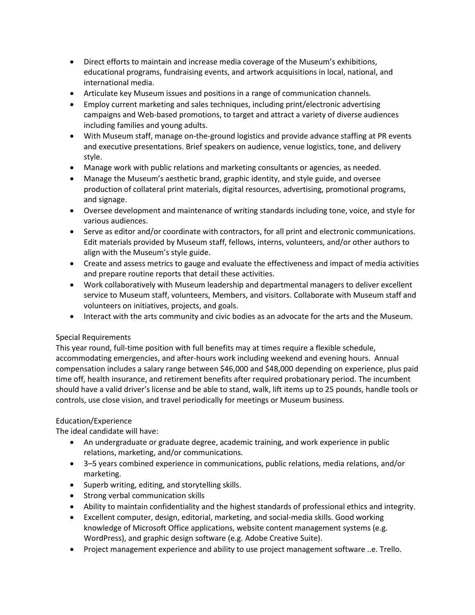- Direct efforts to maintain and increase media coverage of the Museum's exhibitions, educational programs, fundraising events, and artwork acquisitions in local, national, and international media.
- Articulate key Museum issues and positions in a range of communication channels.
- Employ current marketing and sales techniques, including print/electronic advertising campaigns and Web-based promotions, to target and attract a variety of diverse audiences including families and young adults.
- With Museum staff, manage on-the-ground logistics and provide advance staffing at PR events and executive presentations. Brief speakers on audience, venue logistics, tone, and delivery style.
- Manage work with public relations and marketing consultants or agencies, as needed.
- Manage the Museum's aesthetic brand, graphic identity, and style guide, and oversee production of collateral print materials, digital resources, advertising, promotional programs, and signage.
- Oversee development and maintenance of writing standards including tone, voice, and style for various audiences.
- Serve as editor and/or coordinate with contractors, for all print and electronic communications. Edit materials provided by Museum staff, fellows, interns, volunteers, and/or other authors to align with the Museum's style guide.
- Create and assess metrics to gauge and evaluate the effectiveness and impact of media activities and prepare routine reports that detail these activities.
- Work collaboratively with Museum leadership and departmental managers to deliver excellent service to Museum staff, volunteers, Members, and visitors. Collaborate with Museum staff and volunteers on initiatives, projects, and goals.
- Interact with the arts community and civic bodies as an advocate for the arts and the Museum.

## Special Requirements

This year round, full-time position with full benefits may at times require a flexible schedule, accommodating emergencies, and after-hours work including weekend and evening hours. Annual compensation includes a salary range between \$46,000 and \$48,000 depending on experience, plus paid time off, health insurance, and retirement benefits after required probationary period. The incumbent should have a valid driver's license and be able to stand, walk, lift items up to 25 pounds, handle tools or controls, use close vision, and travel periodically for meetings or Museum business.

## Education/Experience

The ideal candidate will have:

- An undergraduate or graduate degree, academic training, and work experience in public relations, marketing, and/or communications.
- 3–5 years combined experience in communications, public relations, media relations, and/or marketing.
- Superb writing, editing, and storytelling skills.
- Strong verbal communication skills
- Ability to maintain confidentiality and the highest standards of professional ethics and integrity.
- Excellent computer, design, editorial, marketing, and social-media skills. Good working knowledge of Microsoft Office applications, website content management systems (e.g. WordPress), and graphic design software (e.g. Adobe Creative Suite).
- Project management experience and ability to use project management software ..e. Trello.